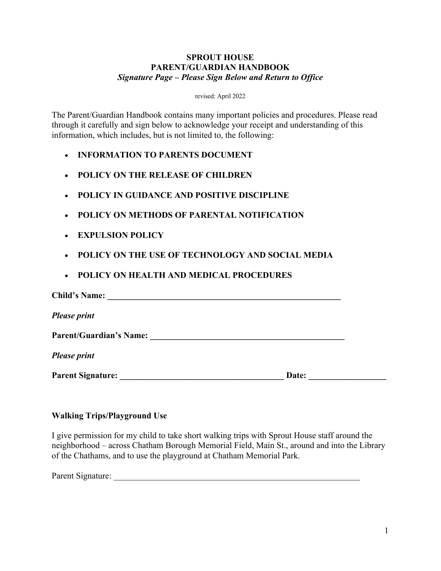#### **SPROUT HOUSE PARENT/GUARDIAN HANDBOOK** *Signature Page – Please Sign Below and Return to Office*

revised: April 2022

The Parent/Guardian Handbook contains many important policies and procedures. Please read through it carefully and sign below to acknowledge your receipt and understanding of this information, which includes, but is not limited to, the following:

- **INFORMATION TO PARENTS DOCUMENT**
- **POLICY ON THE RELEASE OF CHILDREN**
- **POLICY IN GUIDANCE AND POSITIVE DISCIPLINE**
- **POLICY ON METHODS OF PARENTAL NOTIFICATION**
- **EXPULSION POLICY**
- **POLICY ON THE USE OF TECHNOLOGY AND SOCIAL MEDIA**
- **POLICY ON HEALTH AND MEDICAL PROCEDURES**

| <b>Child's Name:</b>           |       |  |
|--------------------------------|-------|--|
| <b>Please print</b>            |       |  |
| <b>Parent/Guardian's Name:</b> |       |  |
| <b>Please print</b>            |       |  |
| <b>Parent Signature:</b>       | Date: |  |

### **Walking Trips/Playground Use**

I give permission for my child to take short walking trips with Sprout House staff around the neighborhood – across Chatham Borough Memorial Field, Main St., around and into the Library of the Chathams, and to use the playground at Chatham Memorial Park.

| Parent Signature: |  |
|-------------------|--|
|-------------------|--|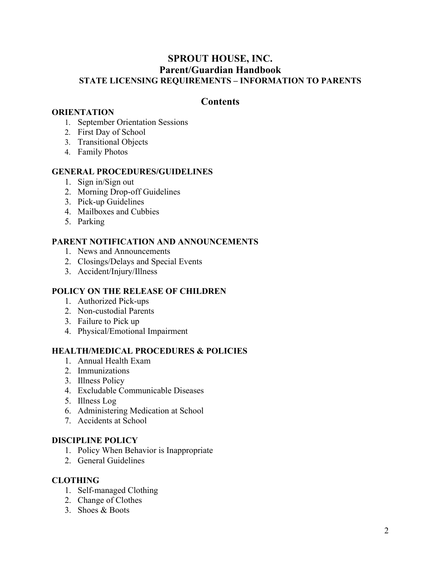## **SPROUT HOUSE, INC. Parent/Guardian Handbook STATE LICENSING REQUIREMENTS – INFORMATION TO PARENTS**

## **Contents**

#### **ORIENTATION**

- 1. September Orientation Sessions
- 2. First Day of School
- 3. Transitional Objects
- 4. Family Photos

#### **GENERAL PROCEDURES/GUIDELINES**

- 1. Sign in/Sign out
- 2. Morning Drop-off Guidelines
- 3. Pick-up Guidelines
- 4. Mailboxes and Cubbies
- 5. Parking

### **PARENT NOTIFICATION AND ANNOUNCEMENTS**

- 1. News and Announcements
- 2. Closings/Delays and Special Events
- 3. Accident/Injury/Illness

### **POLICY ON THE RELEASE OF CHILDREN**

- 1. Authorized Pick-ups
- 2. Non-custodial Parents
- 3. Failure to Pick up
- 4. Physical/Emotional Impairment

## **HEALTH/MEDICAL PROCEDURES & POLICIES**

- 1. Annual Health Exam
- 2. Immunizations
- 3. Illness Policy
- 4. Excludable Communicable Diseases
- 5. Illness Log
- 6. Administering Medication at School
- 7. Accidents at School

#### **DISCIPLINE POLICY**

- 1. Policy When Behavior is Inappropriate
- 2. General Guidelines

### **CLOTHING**

- 1. Self-managed Clothing
- 2. Change of Clothes
- 3. Shoes & Boots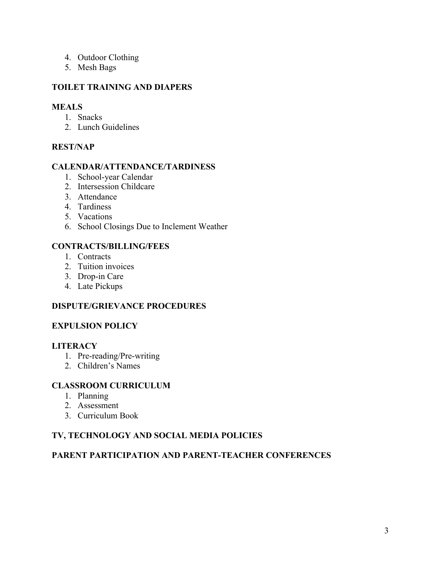- 4. Outdoor Clothing
- 5. Mesh Bags

#### **TOILET TRAINING AND DIAPERS**

#### **MEALS**

- 1. Snacks
- 2. Lunch Guidelines

## **REST/NAP**

#### **CALENDAR/ATTENDANCE/TARDINESS**

- 1. School-year Calendar
- 2. Intersession Childcare
- 3. Attendance
- 4. Tardiness
- 5. Vacations
- 6. School Closings Due to Inclement Weather

### **CONTRACTS/BILLING/FEES**

- 1. Contracts
- 2. Tuition invoices
- 3. Drop-in Care
- 4. Late Pickups

#### **DISPUTE/GRIEVANCE PROCEDURES**

#### **EXPULSION POLICY**

#### **LITERACY**

- 1. Pre-reading/Pre-writing
- 2. Children's Names

#### **CLASSROOM CURRICULUM**

- 1. Planning
- 2. Assessment
- 3. Curriculum Book

## **TV, TECHNOLOGY AND SOCIAL MEDIA POLICIES**

# **PARENT PARTICIPATION AND PARENT-TEACHER CONFERENCES**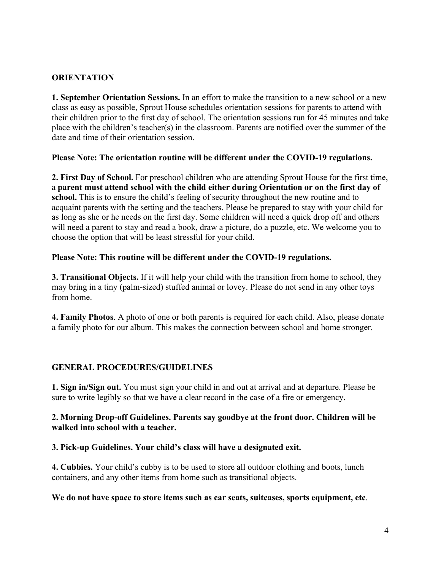### **ORIENTATION**

**1. September Orientation Sessions.** In an effort to make the transition to a new school or a new class as easy as possible, Sprout House schedules orientation sessions for parents to attend with their children prior to the first day of school. The orientation sessions run for 45 minutes and take place with the children's teacher(s) in the classroom. Parents are notified over the summer of the date and time of their orientation session.

#### **Please Note: The orientation routine will be different under the COVID-19 regulations.**

**2. First Day of School.** For preschool children who are attending Sprout House for the first time, a **parent must attend school with the child either during Orientation or on the first day of school.** This is to ensure the child's feeling of security throughout the new routine and to acquaint parents with the setting and the teachers. Please be prepared to stay with your child for as long as she or he needs on the first day. Some children will need a quick drop off and others will need a parent to stay and read a book, draw a picture, do a puzzle, etc. We welcome you to choose the option that will be least stressful for your child.

#### **Please Note: This routine will be different under the COVID-19 regulations.**

**3. Transitional Objects.** If it will help your child with the transition from home to school, they may bring in a tiny (palm-sized) stuffed animal or lovey. Please do not send in any other toys from home.

**4. Family Photos**. A photo of one or both parents is required for each child. Also, please donate a family photo for our album. This makes the connection between school and home stronger.

### **GENERAL PROCEDURES/GUIDELINES**

**1. Sign in/Sign out.** You must sign your child in and out at arrival and at departure. Please be sure to write legibly so that we have a clear record in the case of a fire or emergency.

#### **2. Morning Drop-off Guidelines. Parents say goodbye at the front door. Children will be walked into school with a teacher.**

### **3. Pick-up Guidelines. Your child's class will have a designated exit.**

**4. Cubbies.** Your child's cubby is to be used to store all outdoor clothing and boots, lunch containers, and any other items from home such as transitional objects.

#### **We do not have space to store items such as car seats, suitcases, sports equipment, etc**.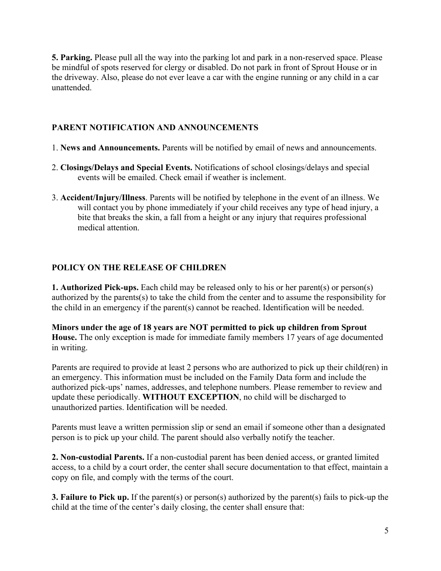**5. Parking.** Please pull all the way into the parking lot and park in a non-reserved space. Please be mindful of spots reserved for clergy or disabled. Do not park in front of Sprout House or in the driveway. Also, please do not ever leave a car with the engine running or any child in a car unattended.

## **PARENT NOTIFICATION AND ANNOUNCEMENTS**

- 1. **News and Announcements.** Parents will be notified by email of news and announcements.
- 2. **Closings/Delays and Special Events.** Notifications of school closings/delays and special events will be emailed. Check email if weather is inclement.
- 3. **Accident/Injury/Illness**. Parents will be notified by telephone in the event of an illness. We will contact you by phone immediately if your child receives any type of head injury, a bite that breaks the skin, a fall from a height or any injury that requires professional medical attention.

## **POLICY ON THE RELEASE OF CHILDREN**

**1. Authorized Pick-ups.** Each child may be released only to his or her parent(s) or person(s) authorized by the parents(s) to take the child from the center and to assume the responsibility for the child in an emergency if the parent(s) cannot be reached. Identification will be needed.

**Minors under the age of 18 years are NOT permitted to pick up children from Sprout House.** The only exception is made for immediate family members 17 years of age documented in writing.

Parents are required to provide at least 2 persons who are authorized to pick up their child(ren) in an emergency. This information must be included on the Family Data form and include the authorized pick-ups' names, addresses, and telephone numbers. Please remember to review and update these periodically. **WITHOUT EXCEPTION**, no child will be discharged to unauthorized parties. Identification will be needed.

Parents must leave a written permission slip or send an email if someone other than a designated person is to pick up your child. The parent should also verbally notify the teacher.

**2. Non-custodial Parents.** If a non-custodial parent has been denied access, or granted limited access, to a child by a court order, the center shall secure documentation to that effect, maintain a copy on file, and comply with the terms of the court.

**3. Failure to Pick up.** If the parent(s) or person(s) authorized by the parent(s) fails to pick-up the child at the time of the center's daily closing, the center shall ensure that: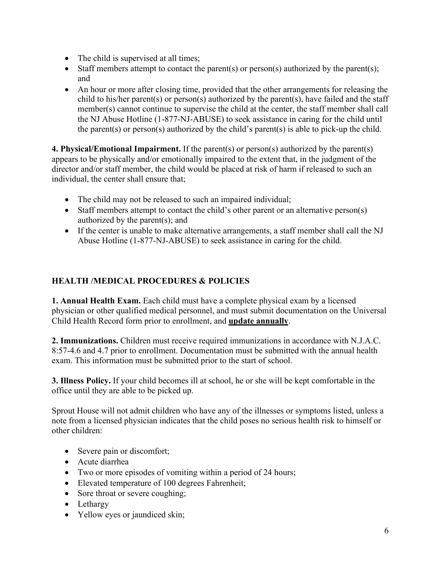- The child is supervised at all times;
- Staff members attempt to contact the parent(s) or person(s) authorized by the parent(s); and
- An hour or more after closing time, provided that the other arrangements for releasing the child to his/her parent(s) or person(s) authorized by the parent(s), have failed and the staff member(s) cannot continue to supervise the child at the center, the staff member shall call the NJ Abuse Hotline (1-877-NJ-ABUSE) to seek assistance in caring for the child until the parent(s) or person(s) authorized by the child's parent(s) is able to pick-up the child.

**4. Physical/Emotional Impairment.** If the parent(s) or person(s) authorized by the parent(s) appears to be physically and/or emotionally impaired to the extent that, in the judgment of the director and/or staff member, the child would be placed at risk of harm if released to such an individual, the center shall ensure that;

- The child may not be released to such an impaired individual;
- Staff members attempt to contact the child's other parent or an alternative person(s) authorized by the parent(s); and
- If the center is unable to make alternative arrangements, a staff member shall call the NJ Abuse Hotline (1-877-NJ-ABUSE) to seek assistance in caring for the child.

## **HEALTH /MEDICAL PROCEDURES & POLICIES**

**1. Annual Health Exam.** Each child must have a complete physical exam by a licensed physician or other qualified medical personnel, and must submit documentation on the Universal Child Health Record form prior to enrollment, and **update annually**.

**2. Immunizations.** Children must receive required immunizations in accordance with N.J.A.C. 8:57-4.6 and 4.7 prior to enrollment. Documentation must be submitted with the annual health exam. This information must be submitted prior to the start of school.

**3. Illness Policy.** If your child becomes ill at school, he or she will be kept comfortable in the office until they are able to be picked up.

Sprout House will not admit children who have any of the illnesses or symptoms listed, unless a note from a licensed physician indicates that the child poses no serious health risk to himself or other children:

- Severe pain or discomfort;
- Acute diarrhea
- Two or more episodes of vomiting within a period of 24 hours;
- Elevated temperature of 100 degrees Fahrenheit;
- Sore throat or severe coughing;
- Lethargy
- Yellow eyes or jaundiced skin;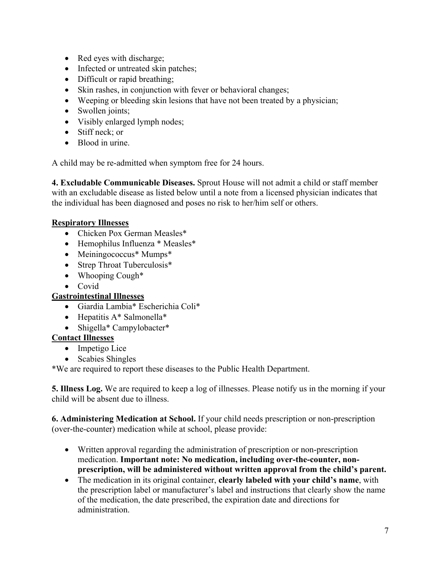- Red eyes with discharge;
- Infected or untreated skin patches;
- Difficult or rapid breathing;
- Skin rashes, in conjunction with fever or behavioral changes;
- Weeping or bleeding skin lesions that have not been treated by a physician;
- Swollen joints;
- Visibly enlarged lymph nodes;
- Stiff neck; or
- Blood in urine.

A child may be re-admitted when symptom free for 24 hours.

**4. Excludable Communicable Diseases.** Sprout House will not admit a child or staff member with an excludable disease as listed below until a note from a licensed physician indicates that the individual has been diagnosed and poses no risk to her/him self or others.

### **Respiratory Illnesses**

- Chicken Pox German Measles\*
- Hemophilus Influenza \* Measles\*
- Meiningococcus\* Mumps\*
- Strep Throat Tuberculosis\*
- Whooping Cough\*
- Covid
- **Gastrointestinal Illnesses**
	- Giardia Lambia\* Escherichia Coli\*
	- Hepatitis A\* Salmonella\*
	- Shigella\* Campylobacter\*

### **Contact Illnesses**

- Impetigo Lice
- Scabies Shingles

\*We are required to report these diseases to the Public Health Department.

**5. Illness Log.** We are required to keep a log of illnesses. Please notify us in the morning if your child will be absent due to illness.

**6. Administering Medication at School.** If your child needs prescription or non-prescription (over-the-counter) medication while at school, please provide:

- Written approval regarding the administration of prescription or non-prescription medication. **Important note: No medication, including over-the-counter, nonprescription, will be administered without written approval from the child's parent.**
- The medication in its original container, **clearly labeled with your child's name**, with the prescription label or manufacturer's label and instructions that clearly show the name of the medication, the date prescribed, the expiration date and directions for administration.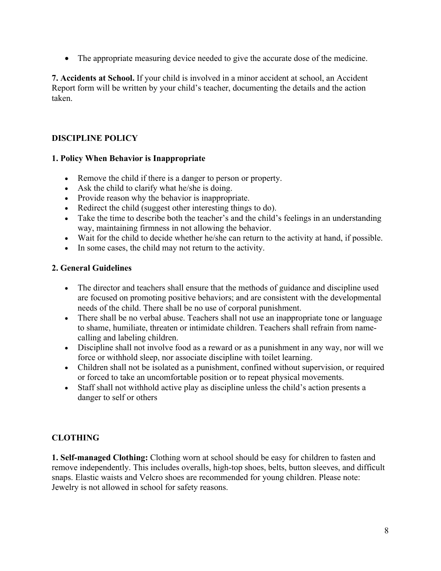• The appropriate measuring device needed to give the accurate dose of the medicine.

**7. Accidents at School.** If your child is involved in a minor accident at school, an Accident Report form will be written by your child's teacher, documenting the details and the action taken.

## **DISCIPLINE POLICY**

### **1. Policy When Behavior is Inappropriate**

- Remove the child if there is a danger to person or property.
- Ask the child to clarify what he/she is doing.
- Provide reason why the behavior is inappropriate.
- Redirect the child (suggest other interesting things to do).
- Take the time to describe both the teacher's and the child's feelings in an understanding way, maintaining firmness in not allowing the behavior.
- Wait for the child to decide whether he/she can return to the activity at hand, if possible.
- In some cases, the child may not return to the activity.

## **2. General Guidelines**

- The director and teachers shall ensure that the methods of guidance and discipline used are focused on promoting positive behaviors; and are consistent with the developmental needs of the child. There shall be no use of corporal punishment.
- There shall be no verbal abuse. Teachers shall not use an inappropriate tone or language to shame, humiliate, threaten or intimidate children. Teachers shall refrain from namecalling and labeling children.
- Discipline shall not involve food as a reward or as a punishment in any way, nor will we force or withhold sleep, nor associate discipline with toilet learning.
- Children shall not be isolated as a punishment, confined without supervision, or required or forced to take an uncomfortable position or to repeat physical movements.
- Staff shall not withhold active play as discipline unless the child's action presents a danger to self or others

## **CLOTHING**

**1. Self-managed Clothing:** Clothing worn at school should be easy for children to fasten and remove independently. This includes overalls, high-top shoes, belts, button sleeves, and difficult snaps. Elastic waists and Velcro shoes are recommended for young children. Please note: Jewelry is not allowed in school for safety reasons.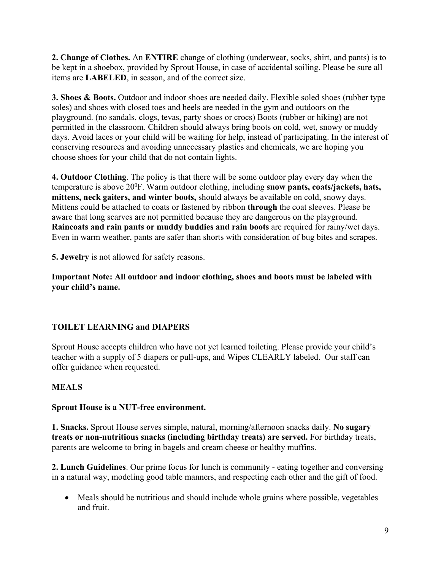**2. Change of Clothes.** An **ENTIRE** change of clothing (underwear, socks, shirt, and pants) is to be kept in a shoebox, provided by Sprout House, in case of accidental soiling. Please be sure all items are **LABELED**, in season, and of the correct size.

**3. Shoes & Boots.** Outdoor and indoor shoes are needed daily. Flexible soled shoes (rubber type soles) and shoes with closed toes and heels are needed in the gym and outdoors on the playground. (no sandals, clogs, tevas, party shoes or crocs) Boots (rubber or hiking) are not permitted in the classroom. Children should always bring boots on cold, wet, snowy or muddy days. Avoid laces or your child will be waiting for help, instead of participating. In the interest of conserving resources and avoiding unnecessary plastics and chemicals, we are hoping you choose shoes for your child that do not contain lights.

**4. Outdoor Clothing**. The policy is that there will be some outdoor play every day when the temperature is above 20<sup>0</sup>F. Warm outdoor clothing, including **snow pants, coats/jackets, hats, mittens, neck gaiters, and winter boots,** should always be available on cold, snowy days. Mittens could be attached to coats or fastened by ribbon **through** the coat sleeves. Please be aware that long scarves are not permitted because they are dangerous on the playground. **Raincoats and rain pants or muddy buddies and rain boots** are required for rainy/wet days. Even in warm weather, pants are safer than shorts with consideration of bug bites and scrapes.

**5. Jewelry** is not allowed for safety reasons.

**Important Note: All outdoor and indoor clothing, shoes and boots must be labeled with your child's name.**

# **TOILET LEARNING and DIAPERS**

Sprout House accepts children who have not yet learned toileting. Please provide your child's teacher with a supply of 5 diapers or pull-ups, and Wipes CLEARLY labeled. Our staff can offer guidance when requested.

## **MEALS**

### **Sprout House is a NUT-free environment.**

**1. Snacks.** Sprout House serves simple, natural, morning/afternoon snacks daily. **No sugary treats or non-nutritious snacks (including birthday treats) are served.** For birthday treats, parents are welcome to bring in bagels and cream cheese or healthy muffins.

**2. Lunch Guidelines**. Our prime focus for lunch is community - eating together and conversing in a natural way, modeling good table manners, and respecting each other and the gift of food.

• Meals should be nutritious and should include whole grains where possible, vegetables and fruit.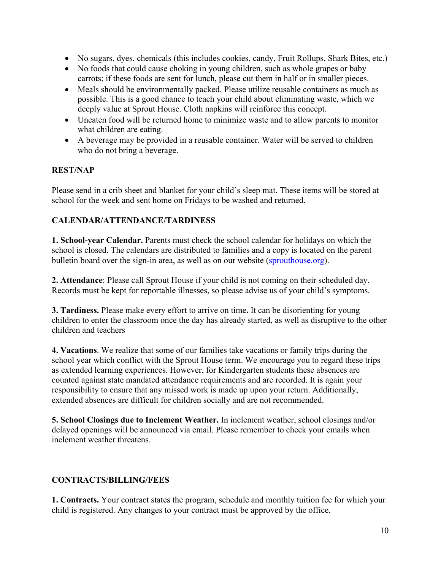- No sugars, dyes, chemicals (this includes cookies, candy, Fruit Rollups, Shark Bites, etc.)
- No foods that could cause choking in young children, such as whole grapes or baby carrots; if these foods are sent for lunch, please cut them in half or in smaller pieces.
- Meals should be environmentally packed. Please utilize reusable containers as much as possible. This is a good chance to teach your child about eliminating waste, which we deeply value at Sprout House. Cloth napkins will reinforce this concept.
- Uneaten food will be returned home to minimize waste and to allow parents to monitor what children are eating.
- A beverage may be provided in a reusable container. Water will be served to children who do not bring a beverage.

### **REST/NAP**

Please send in a crib sheet and blanket for your child's sleep mat. These items will be stored at school for the week and sent home on Fridays to be washed and returned.

### **CALENDAR/ATTENDANCE/TARDINESS**

**1. School-year Calendar.** Parents must check the school calendar for holidays on which the school is closed. The calendars are distributed to families and a copy is located on the parent bulletin board over the sign-in area, as well as on our website (sprouthouse.org).

**2. Attendance**: Please call Sprout House if your child is not coming on their scheduled day. Records must be kept for reportable illnesses, so please advise us of your child's symptoms.

**3. Tardiness.** Please make every effort to arrive on time**.** It can be disorienting for young children to enter the classroom once the day has already started, as well as disruptive to the other children and teachers

**4. Vacations**. We realize that some of our families take vacations or family trips during the school year which conflict with the Sprout House term. We encourage you to regard these trips as extended learning experiences. However, for Kindergarten students these absences are counted against state mandated attendance requirements and are recorded. It is again your responsibility to ensure that any missed work is made up upon your return. Additionally, extended absences are difficult for children socially and are not recommended.

**5. School Closings due to Inclement Weather.** In inclement weather, school closings and/or delayed openings will be announced via email. Please remember to check your emails when inclement weather threatens.

### **CONTRACTS/BILLING/FEES**

**1. Contracts.** Your contract states the program, schedule and monthly tuition fee for which your child is registered. Any changes to your contract must be approved by the office.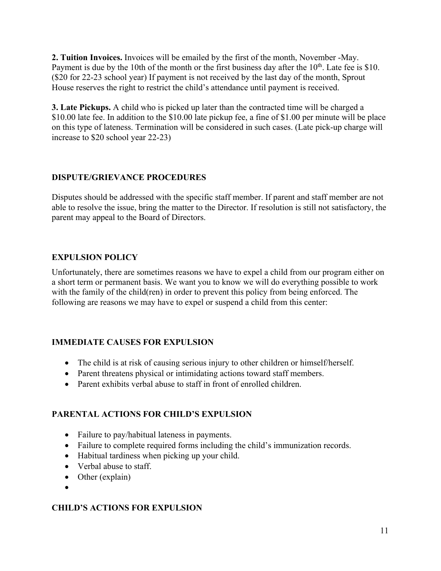**2. Tuition Invoices.** Invoices will be emailed by the first of the month, November -May. Payment is due by the 10th of the month or the first business day after the 10<sup>th</sup>. Late fee is \$10. (\$20 for 22-23 school year) If payment is not received by the last day of the month, Sprout House reserves the right to restrict the child's attendance until payment is received.

**3. Late Pickups.** A child who is picked up later than the contracted time will be charged a \$10.00 late fee. In addition to the \$10.00 late pickup fee, a fine of \$1.00 per minute will be place on this type of lateness. Termination will be considered in such cases. (Late pick-up charge will increase to \$20 school year 22-23)

## **DISPUTE/GRIEVANCE PROCEDURES**

Disputes should be addressed with the specific staff member. If parent and staff member are not able to resolve the issue, bring the matter to the Director. If resolution is still not satisfactory, the parent may appeal to the Board of Directors.

## **EXPULSION POLICY**

Unfortunately, there are sometimes reasons we have to expel a child from our program either on a short term or permanent basis. We want you to know we will do everything possible to work with the family of the child(ren) in order to prevent this policy from being enforced. The following are reasons we may have to expel or suspend a child from this center:

## **IMMEDIATE CAUSES FOR EXPULSION**

- The child is at risk of causing serious injury to other children or himself/herself.
- Parent threatens physical or intimidating actions toward staff members.
- Parent exhibits verbal abuse to staff in front of enrolled children.

## **PARENTAL ACTIONS FOR CHILD'S EXPULSION**

- Failure to pay/habitual lateness in payments.
- Failure to complete required forms including the child's immunization records.
- Habitual tardiness when picking up your child.
- Verbal abuse to staff.
- Other (explain)
- •

# **CHILD'S ACTIONS FOR EXPULSION**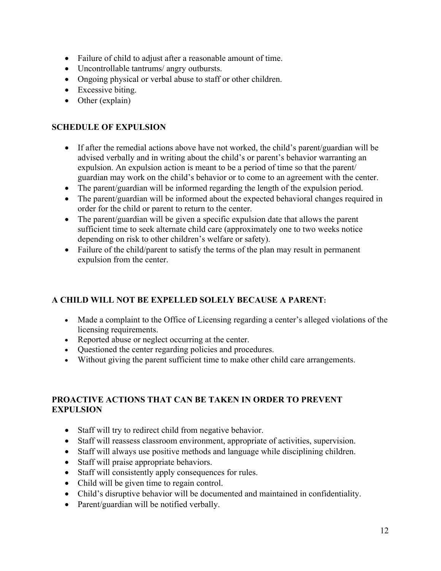- Failure of child to adjust after a reasonable amount of time.
- Uncontrollable tantrums/ angry outbursts.
- Ongoing physical or verbal abuse to staff or other children.
- Excessive biting.
- Other (explain)

## **SCHEDULE OF EXPULSION**

- If after the remedial actions above have not worked, the child's parent/guardian will be advised verbally and in writing about the child's or parent's behavior warranting an expulsion. An expulsion action is meant to be a period of time so that the parent/ guardian may work on the child's behavior or to come to an agreement with the center.
- The parent/guardian will be informed regarding the length of the expulsion period.
- The parent/guardian will be informed about the expected behavioral changes required in order for the child or parent to return to the center.
- The parent/guardian will be given a specific expulsion date that allows the parent sufficient time to seek alternate child care (approximately one to two weeks notice depending on risk to other children's welfare or safety).
- Failure of the child/parent to satisfy the terms of the plan may result in permanent expulsion from the center.

## **A CHILD WILL NOT BE EXPELLED SOLELY BECAUSE A PARENT:**

- Made a complaint to the Office of Licensing regarding a center's alleged violations of the licensing requirements.
- Reported abuse or neglect occurring at the center.
- Questioned the center regarding policies and procedures.
- Without giving the parent sufficient time to make other child care arrangements.

## **PROACTIVE ACTIONS THAT CAN BE TAKEN IN ORDER TO PREVENT EXPULSION**

- Staff will try to redirect child from negative behavior.
- Staff will reassess classroom environment, appropriate of activities, supervision.
- Staff will always use positive methods and language while disciplining children.
- Staff will praise appropriate behaviors.
- Staff will consistently apply consequences for rules.
- Child will be given time to regain control.
- Child's disruptive behavior will be documented and maintained in confidentiality.
- Parent/guardian will be notified verbally.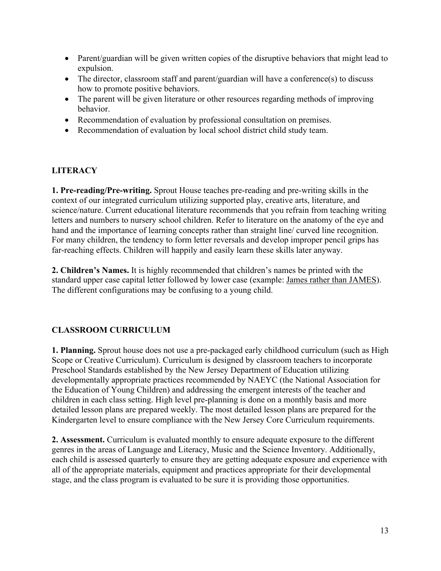- Parent/guardian will be given written copies of the disruptive behaviors that might lead to expulsion.
- The director, classroom staff and parent/guardian will have a conference(s) to discuss how to promote positive behaviors.
- The parent will be given literature or other resources regarding methods of improving behavior.
- Recommendation of evaluation by professional consultation on premises.
- Recommendation of evaluation by local school district child study team.

#### **LITERACY**

**1. Pre-reading/Pre-writing.** Sprout House teaches pre-reading and pre-writing skills in the context of our integrated curriculum utilizing supported play, creative arts, literature, and science/nature. Current educational literature recommends that you refrain from teaching writing letters and numbers to nursery school children. Refer to literature on the anatomy of the eye and hand and the importance of learning concepts rather than straight line/ curved line recognition. For many children, the tendency to form letter reversals and develop improper pencil grips has far-reaching effects. Children will happily and easily learn these skills later anyway.

**2. Children's Names.** It is highly recommended that children's names be printed with the standard upper case capital letter followed by lower case (example: James rather than JAMES). The different configurations may be confusing to a young child.

### **CLASSROOM CURRICULUM**

**1. Planning.** Sprout house does not use a pre-packaged early childhood curriculum (such as High Scope or Creative Curriculum). Curriculum is designed by classroom teachers to incorporate Preschool Standards established by the New Jersey Department of Education utilizing developmentally appropriate practices recommended by NAEYC (the National Association for the Education of Young Children) and addressing the emergent interests of the teacher and children in each class setting. High level pre-planning is done on a monthly basis and more detailed lesson plans are prepared weekly. The most detailed lesson plans are prepared for the Kindergarten level to ensure compliance with the New Jersey Core Curriculum requirements.

**2. Assessment.** Curriculum is evaluated monthly to ensure adequate exposure to the different genres in the areas of Language and Literacy, Music and the Science Inventory. Additionally, each child is assessed quarterly to ensure they are getting adequate exposure and experience with all of the appropriate materials, equipment and practices appropriate for their developmental stage, and the class program is evaluated to be sure it is providing those opportunities.